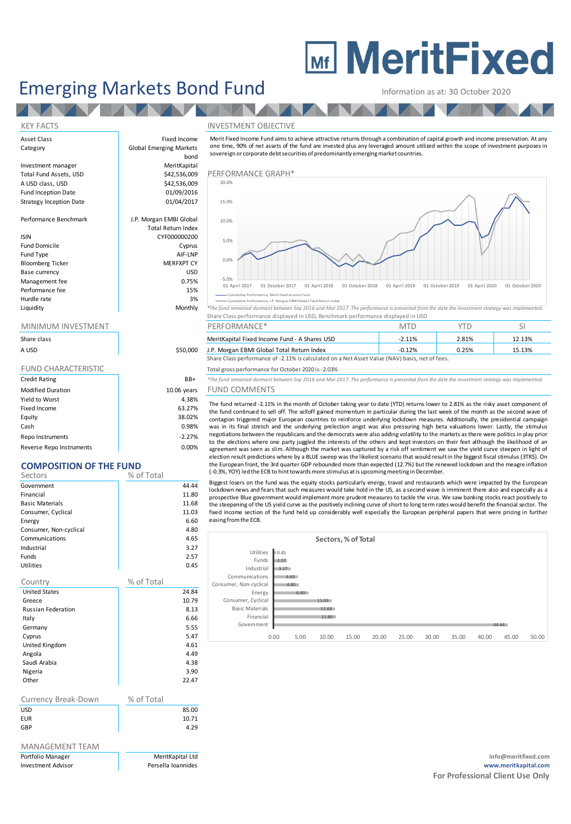# **Mi MeritFixed**

# Emerging Markets Bond Fund Information as at: 30 October 2020

## KEY FACTS INVESTMENT OBJECTIVE

| Asset Class                    | Fixed Income                   | Merit Fixed Income Fund aims to<br>one time, 90% of net assets of th                   |  |  |
|--------------------------------|--------------------------------|----------------------------------------------------------------------------------------|--|--|
| Category                       | <b>Global Emerging Markets</b> |                                                                                        |  |  |
|                                | bond                           | sovereign or corporate debt secu                                                       |  |  |
| Investment manager             | MeritKapital                   |                                                                                        |  |  |
| Total Fund Assets, USD         | \$42,536,009                   | PERFORMANCE GRAPH*                                                                     |  |  |
| A USD class, USD               | \$42,536,009                   | 20.0%                                                                                  |  |  |
| Fund Inception Date            | 01/09/2016                     |                                                                                        |  |  |
| <b>Strategy Inception Date</b> | 01/04/2017                     | 15.0%                                                                                  |  |  |
| Performance Benchmark          | J.P. Morgan EMBI Global        | 10.0%                                                                                  |  |  |
|                                | <b>Total Return Index</b>      |                                                                                        |  |  |
| <b>ISIN</b>                    | CYF000000200                   | 5.0%                                                                                   |  |  |
| <b>Fund Domicile</b>           | Cyprus                         |                                                                                        |  |  |
| Fund Type                      | AIF-LNP                        |                                                                                        |  |  |
| <b>Bloomberg Ticker</b>        | <b>MERFXPT CY</b>              | 0.0%                                                                                   |  |  |
| Base currency                  | <b>USD</b>                     |                                                                                        |  |  |
| Management fee                 | 0.75%                          | $-5.0%$                                                                                |  |  |
| Performance fee                | 15%                            | 01 April 2017<br>01 October 201                                                        |  |  |
| Hurdle rate                    | 3%                             | - Cumulative Performance, Merit Fixed Inc.<br>" Cumulative Performance, J.P. Morgan EB |  |  |
| Liouidity                      | $M$ onthl $\nu$                | $*Tb$ a fund canadia ad dacoacht baturaan.                                             |  |  |

| Share class                |             |
|----------------------------|-------------|
| A USD                      | \$50,000    |
|                            |             |
| <b>FUND CHARACTERISTIC</b> |             |
| <b>Credit Rating</b>       | BB+         |
| <b>Modified Duration</b>   | 10.06 years |
| Yield to Worst             | 4.38%       |
| Fixed Income               | 63.27%      |
| Equity                     | 38.02%      |
| Cash                       | 0.98%       |

Repo Instruments and the set of the set of the set of the set of the set of the set of the set of the set of the set of the set of the set of the set of the set of the set of the set of the set of the set of the set of the Reverse Repo Instruments and the control of the control of the control of the control of the control of the control of the control of the control of the control of the control of the control of the control of the control o

# **COMPOSITION OF THE FUND**

| CONTOSHION OF THE FUND    |            |       |
|---------------------------|------------|-------|
| Sectors                   | % of Total |       |
| Government                |            | 44.44 |
| Financial                 |            | 11.80 |
| <b>Basic Materials</b>    |            | 11.68 |
| Consumer, Cyclical        |            | 11.03 |
| Energy                    |            | 6.60  |
| Consumer, Non-cyclical    |            | 4.80  |
| Communications            |            | 4.65  |
| Industrial                |            | 3.27  |
| Funds                     |            | 2.57  |
| Utilities                 |            | 0.45  |
| Country                   | % of Total |       |
| <b>United States</b>      |            | 24.84 |
| Greece                    |            | 10.79 |
| <b>Russian Federation</b> |            | 8.13  |
| Italy                     |            | 6.66  |
| Germany                   |            | 5.55  |
| Cyprus                    |            | 5.47  |
| United Kingdom            |            | 4.61  |
| Angola                    |            | 4.49  |
| Saudi Arabia              |            | 4.38  |
| Nigeria                   |            | 3.90  |
| Other                     |            | 22.47 |
|                           |            |       |
| Currency Break-Down       | % of Total |       |
| <b>USD</b>                |            | 85.00 |
| <b>EUR</b>                |            | 10.71 |
| GBP                       |            | 4.29  |
|                           |            |       |

# MANAGEMENT TEAM



#### Cumulative Performance, Merit Fixed Income Fund Cumulative Performance, J.P. Morgan EBMI Global Total Return Index

| Liquidity                           | Monthly                                                                          | *The fund remained dormant between Sep 2016 and Mar 2017. The performance is presented from the date the investment strategy was implemented. |  |  |  |  |
|-------------------------------------|----------------------------------------------------------------------------------|-----------------------------------------------------------------------------------------------------------------------------------------------|--|--|--|--|
|                                     | Share Class performance displayed in USD, Benchmark performance displayed in USD |                                                                                                                                               |  |  |  |  |
| <b>NAINLINALINA INIVIDETS AFNIT</b> |                                                                                  | DEDEODA 4 A NICEX                                                                                                                             |  |  |  |  |

|             |          | ________________                                                                               | .        |       |        |  |  |
|-------------|----------|------------------------------------------------------------------------------------------------|----------|-------|--------|--|--|
| Share class |          | MeritKapital Fixed Income Fund - A Shares USD                                                  | $-2.11%$ | 2.81% | 12.13% |  |  |
| A USD       | \$50,000 | J.P. Morgan EBMI Global Total Return Index                                                     | $-0.12%$ | 2.25% | 15.13% |  |  |
|             |          | Share Class performance of -2.11% is calculated on a Net Asset Value (NAV) basis, net of fees. |          |       |        |  |  |

Total gross performance for October 2020 is -2.03%

BB+ <sup>\*</sup>The fund remained dormant between Sep 2016 and Mar 2017. The performance is presented from the date the investment strategy was implemented.

## ears FUND COMMENTS

The fund returned -2.11% in the month of October 10201. The performance is presented from the date the investment strategy was implemented.<br>The fund remained domant between Sep 2016 and Mar 2017. The performance is present the fund continued to sell off. The selloff gained momentum in particular during the last week of the month as the second wave of contagion triggered major European countries to reinforce underlying lockdown measures. Additionally, the presidential campaign was in its final stretch and the underlying prelection angst was also pressuring high beta valuations lower. Lastly, the stimulus<br>negotiations between the republicans and the democrats were also adding volatility to the ma The fund remained dormant between Sep 2016 and Mar 2017. The performance is presented from the date the investment strategy was implemented.<br>
FUND COMMENTS<br>
The fund returned -2.11% in the month of October taking year to d to the elections where one party juggled the interests of the others and kept investors on their feet although the likelihood of an agreement was seen as slim. Although the market was captured by a risk off sentiment we sa -UND CUIVIIVIENTS<br>The fund returned -2.11% in the month of October taking year to date (YTD) returns lower to 2.81% as the risky asset component of<br>the fund continued to sell off. The selloff gained momentum in particular the European front, the 3rd quarter GDP rebounded more than expected (12.7%) but the renewed lockdown and the meagre inflation<br>(-0.3%, YOY) led the ECB to hint towards more stimulus at is upcoming meeting in December. From Continue to serior. The senior game minimum in particular during the last we<br>contagion triggered major European countries to reinforce underlying lockdown measures.<br>was in its final stretch and the underlying prelecti negotiations between the republicans and the democrats were also adding volatility to the markets as there were politics in play prior<br>to the elections where one party juggled the interests of the others and kept investors

Biggest losers on the fund was the equity stocks particularly energy, travel and restaurants which were impacted by the European prospective Blue government would implement more prudent measures to tackle the virus. We saw banking stocks react positively to the steepening of the US yield curve as the positively inclining curve of short to long term rates would benefit the financial sector. The election result predictions where by a BLUE sweep was the likeliest scenario that would result in the biggest fiscal stimulus (3TRS). On<br>the European front, the 3rd quarter GDP rebounded more than expected (12.7%) but the easing fromthe ECB.

|                        |              | Sectors, % of Total |       |       |       |       |       |       |       |       |
|------------------------|--------------|---------------------|-------|-------|-------|-------|-------|-------|-------|-------|
| <b>Utilities</b>       | 0.45         |                     |       |       |       |       |       |       |       |       |
| Funds                  | 2.57         |                     |       |       |       |       |       |       |       |       |
| Industrial             | 3.27         |                     |       |       |       |       |       |       |       |       |
| Communications         | 4.65         |                     |       |       |       |       |       |       |       |       |
| Consumer, Non-cyclical | 4.80         |                     |       |       |       |       |       |       |       |       |
| Energy                 | 6.60         |                     |       |       |       |       |       |       |       |       |
| Consumer, Cyclical     |              | 11.03               |       |       |       |       |       |       |       |       |
| <b>Basic Materials</b> |              | 11.68               |       |       |       |       |       |       |       |       |
| Financial              |              | 11.80               |       |       |       |       |       |       |       |       |
| Government             |              |                     |       |       |       |       |       |       | 44.44 |       |
|                        | 0.00<br>5.00 | 10.00               | 15.00 | 20,00 | 25.00 | 30.00 | 35.00 | 40.00 | 45.00 | 50.00 |